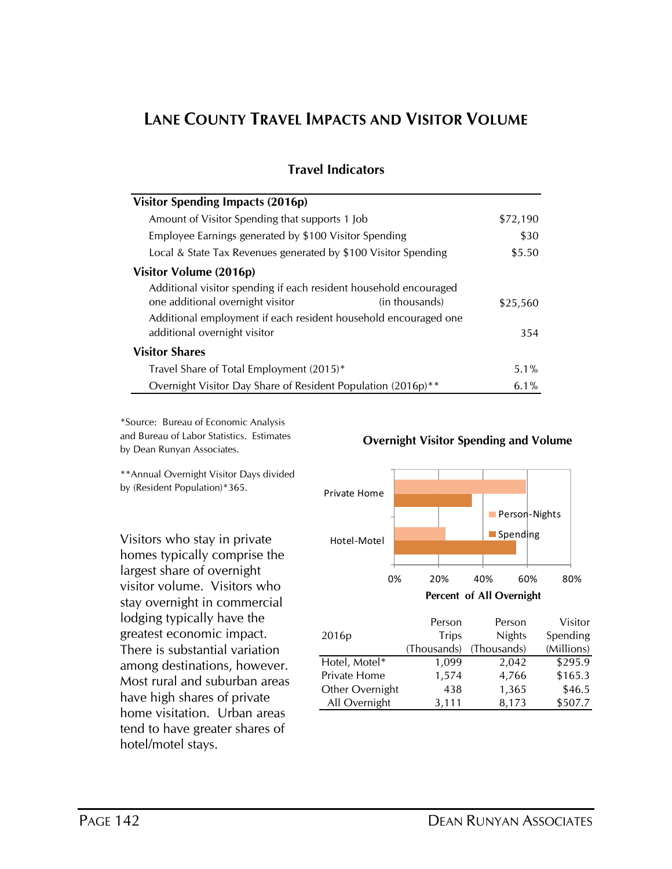# **LANE COUNTY TRAVEL IMPACTS AND VISITOR VOLUME**

| <b>Visitor Spending Impacts (2016p)</b>                           |                |          |
|-------------------------------------------------------------------|----------------|----------|
| Amount of Visitor Spending that supports 1 Job                    |                | \$72,190 |
| Employee Earnings generated by \$100 Visitor Spending             |                | \$30     |
| Local & State Tax Revenues generated by \$100 Visitor Spending    |                | \$5.50   |
| Visitor Volume (2016p)                                            |                |          |
| Additional visitor spending if each resident household encouraged |                |          |
| one additional overnight visitor                                  | (in thousands) | \$25,560 |
| Additional employment if each resident household encouraged one   |                |          |
| additional overnight visitor                                      |                | 354      |
| <b>Visitor Shares</b>                                             |                |          |
| Travel Share of Total Employment (2015)*                          |                | 5.1%     |
| Overnight Visitor Day Share of Resident Population (2016p)**      |                | $6.1\%$  |

### **Travel Indicators**

\*Source: Bureau of Economic Analysis and Bureau of Labor Statistics. Estimates by Dean Runyan Associates.

\*\*Annual Overnight Visitor Days divided by (Resident Population)\*365.

Visitors who stay in private homes typically comprise the largest share of overnight visitor volume. Visitors who stay overnight in commercial lodging typically have the greatest economic impact. There is substantial variation among destinations, however. Most rural and suburban areas have high shares of private home visitation. Urban areas tend to have greater shares of hotel/motel stays.

#### **Overnight Visitor Spending and Volume**

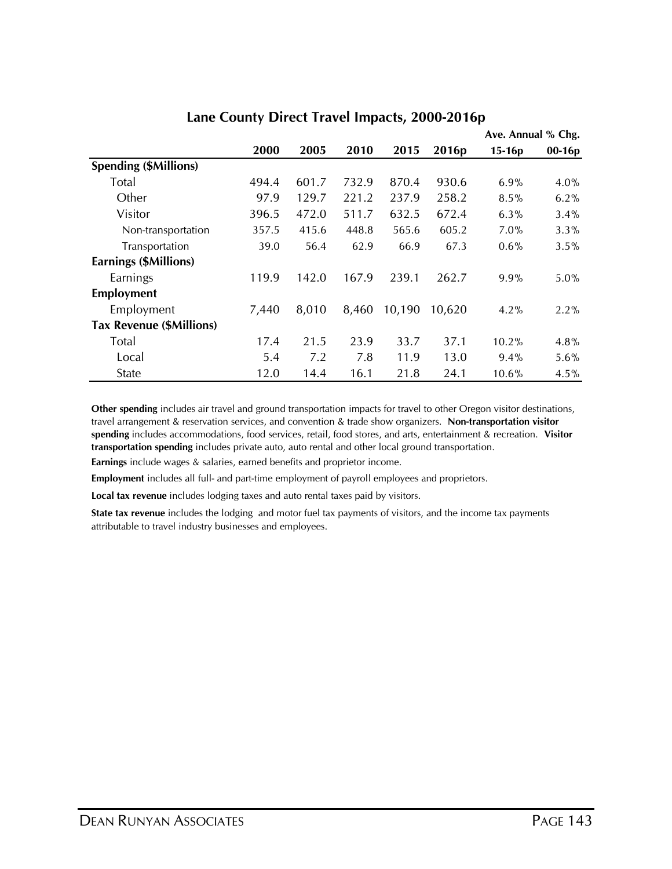|                                 |       |       | Ave. Annual % Chg. |        |                   |          |          |
|---------------------------------|-------|-------|--------------------|--------|-------------------|----------|----------|
|                                 | 2000  | 2005  | 2010               | 2015   | 2016 <sub>p</sub> | $15-16p$ | $00-16p$ |
| <b>Spending (\$Millions)</b>    |       |       |                    |        |                   |          |          |
| <b>Total</b>                    | 494.4 | 601.7 | 732.9              | 870.4  | 930.6             | 6.9%     | 4.0%     |
| Other                           | 97.9  | 129.7 | 221.2              | 237.9  | 258.2             | 8.5%     | 6.2%     |
| Visitor                         | 396.5 | 472.0 | 511.7              | 632.5  | 672.4             | $6.3\%$  | 3.4%     |
| Non-transportation              | 357.5 | 415.6 | 448.8              | 565.6  | 605.2             | 7.0%     | $3.3\%$  |
| Transportation                  | 39.0  | 56.4  | 62.9               | 66.9   | 67.3              | 0.6%     | 3.5%     |
| Earnings (\$Millions)           |       |       |                    |        |                   |          |          |
| Earnings                        | 119.9 | 142.0 | 167.9              | 239.1  | 262.7             | 9.9%     | $5.0\%$  |
| Employment                      |       |       |                    |        |                   |          |          |
| Employment                      | 7,440 | 8,010 | 8,460              | 10,190 | 10,620            | 4.2%     | 2.2%     |
| <b>Tax Revenue (\$Millions)</b> |       |       |                    |        |                   |          |          |
| <b>Total</b>                    | 17.4  | 21.5  | 23.9               | 33.7   | 37.1              | 10.2%    | 4.8%     |
| Local                           | 5.4   | 7.2   | 7.8                | 11.9   | 13.0              | $9.4\%$  | 5.6%     |
| <b>State</b>                    | 12.0  | 14.4  | 16.1               | 21.8   | 24.1              | 10.6%    | 4.5%     |

#### **Lane County Direct Travel Impacts, 2000-2016p**

**Other spending** includes air travel and ground transportation impacts for travel to other Oregon visitor destinations, travel arrangement & reservation services, and convention & trade show organizers. **Non-transportation visitor spending** includes accommodations, food services, retail, food stores, and arts, entertainment & recreation. **Visitor transportation spending** includes private auto, auto rental and other local ground transportation.

**Earnings** include wages & salaries, earned benefits and proprietor income.

**Employment** includes all full- and part-time employment of payroll employees and proprietors.

**Local tax revenue** includes lodging taxes and auto rental taxes paid by visitors.

**State tax revenue** includes the lodging and motor fuel tax payments of visitors, and the income tax payments attributable to travel industry businesses and employees.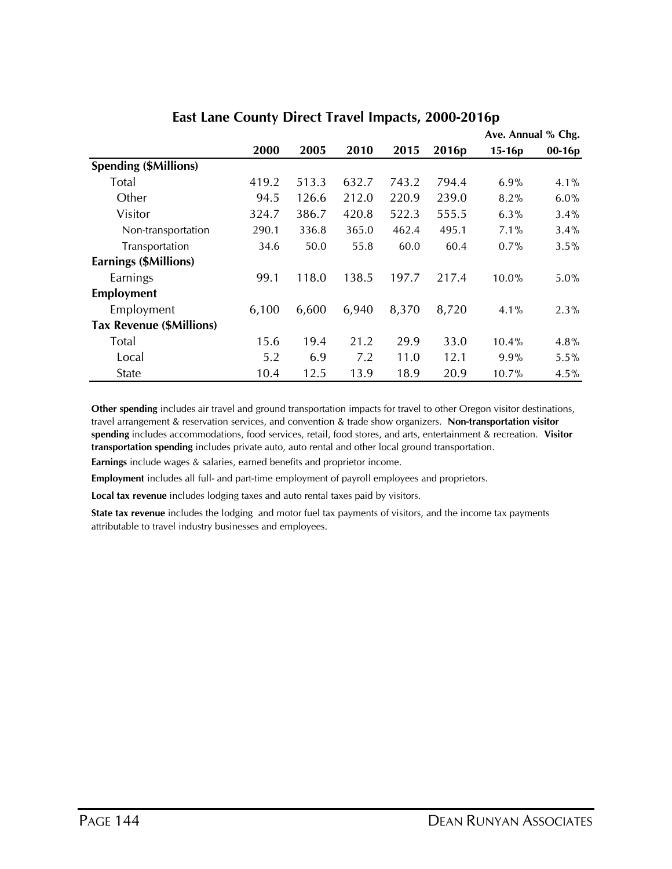|                                 |       |       |       | Ave. Annual % Chg. |                   |          |          |
|---------------------------------|-------|-------|-------|--------------------|-------------------|----------|----------|
|                                 | 2000  | 2005  | 2010  | 2015               | 2016 <sub>p</sub> | $15-16p$ | $00-16p$ |
| <b>Spending (\$Millions)</b>    |       |       |       |                    |                   |          |          |
| <b>Total</b>                    | 419.2 | 513.3 | 632.7 | 743.2              | 794.4             | 6.9%     | 4.1%     |
| Other                           | 94.5  | 126.6 | 212.0 | 220.9              | 239.0             | 8.2%     | $6.0\%$  |
| Visitor                         | 324.7 | 386.7 | 420.8 | 522.3              | 555.5             | $6.3\%$  | 3.4%     |
| Non-transportation              | 290.1 | 336.8 | 365.0 | 462.4              | 495.1             | 7.1%     | 3.4%     |
| Transportation                  | 34.6  | 50.0  | 55.8  | 60.0               | 60.4              | 0.7%     | 3.5%     |
| Earnings (\$Millions)           |       |       |       |                    |                   |          |          |
| Earnings                        | 99.1  | 118.0 | 138.5 | 197.7              | 217.4             | 10.0%    | $5.0\%$  |
| <b>Employment</b>               |       |       |       |                    |                   |          |          |
| Employment                      | 6,100 | 6,600 | 6,940 | 8,370              | 8,720             | 4.1%     | 2.3%     |
| <b>Tax Revenue (\$Millions)</b> |       |       |       |                    |                   |          |          |
| Total                           | 15.6  | 19.4  | 21.2  | 29.9               | 33.0              | 10.4%    | 4.8%     |
| Local                           | 5.2   | 6.9   | 7.2   | 11.0               | 12.1              | 9.9%     | 5.5%     |
| <b>State</b>                    | 10.4  | 12.5  | 13.9  | 18.9               | 20.9              | 10.7%    | 4.5%     |

### **East Lane County Direct Travel Impacts, 2000-2016p**

**Other spending** includes air travel and ground transportation impacts for travel to other Oregon visitor destinations, travel arrangement & reservation services, and convention & trade show organizers. **Non-transportation visitor spending** includes accommodations, food services, retail, food stores, and arts, entertainment & recreation. **Visitor transportation spending** includes private auto, auto rental and other local ground transportation.

**Earnings** include wages & salaries, earned benefits and proprietor income.

**Employment** includes all full- and part-time employment of payroll employees and proprietors.

**Local tax revenue** includes lodging taxes and auto rental taxes paid by visitors.

**State tax revenue** includes the lodging and motor fuel tax payments of visitors, and the income tax payments attributable to travel industry businesses and employees.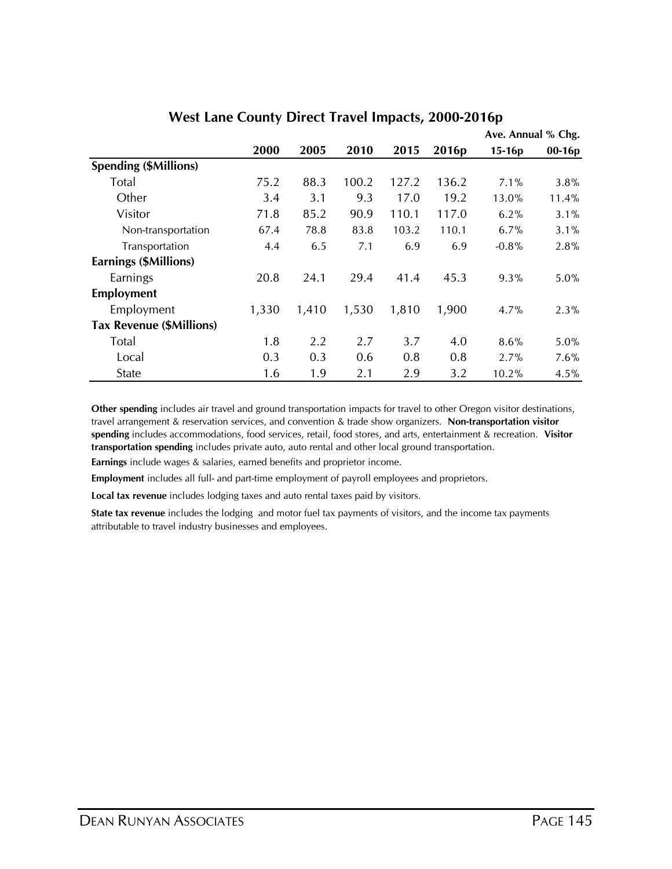|                                 |       |       |       |       |                   | Ave. Annual % Chg. |          |
|---------------------------------|-------|-------|-------|-------|-------------------|--------------------|----------|
|                                 | 2000  | 2005  | 2010  | 2015  | 2016 <sub>p</sub> | 15-16p             | $00-16p$ |
| <b>Spending (\$Millions)</b>    |       |       |       |       |                   |                    |          |
| Total                           | 75.2  | 88.3  | 100.2 | 127.2 | 136.2             | 7.1%               | 3.8%     |
| Other                           | 3.4   | 3.1   | 9.3   | 17.0  | 19.2              | 13.0%              | 11.4%    |
| Visitor                         | 71.8  | 85.2  | 90.9  | 110.1 | 117.0             | 6.2%               | $3.1\%$  |
| Non-transportation              | 67.4  | 78.8  | 83.8  | 103.2 | 110.1             | 6.7%               | 3.1%     |
| Transportation                  | 4.4   | 6.5   | 7.1   | 6.9   | 6.9               | $-0.8%$            | 2.8%     |
| Earnings (\$Millions)           |       |       |       |       |                   |                    |          |
| Earnings                        | 20.8  | 24.1  | 29.4  | 41.4  | 45.3              | 9.3%               | $5.0\%$  |
| <b>Employment</b>               |       |       |       |       |                   |                    |          |
| Employment                      | 1,330 | 1,410 | 1,530 | 1,810 | 1,900             | 4.7%               | 2.3%     |
| <b>Tax Revenue (\$Millions)</b> |       |       |       |       |                   |                    |          |
| Total                           | 1.8   | 2.2   | 2.7   | 3.7   | 4.0               | 8.6%               | 5.0%     |
| Local                           | 0.3   | 0.3   | 0.6   | 0.8   | 0.8               | 2.7%               | 7.6%     |
| State                           | 1.6   | 1.9   | 2.1   | 2.9   | 3.2               | 10.2%              | 4.5%     |

#### **West Lane County Direct Travel Impacts, 2000-2016p**

**Other spending** includes air travel and ground transportation impacts for travel to other Oregon visitor destinations, travel arrangement & reservation services, and convention & trade show organizers. **Non-transportation visitor spending** includes accommodations, food services, retail, food stores, and arts, entertainment & recreation. **Visitor transportation spending** includes private auto, auto rental and other local ground transportation.

**Earnings** include wages & salaries, earned benefits and proprietor income.

**Employment** includes all full- and part-time employment of payroll employees and proprietors.

**Local tax revenue** includes lodging taxes and auto rental taxes paid by visitors.

**State tax revenue** includes the lodging and motor fuel tax payments of visitors, and the income tax payments attributable to travel industry businesses and employees.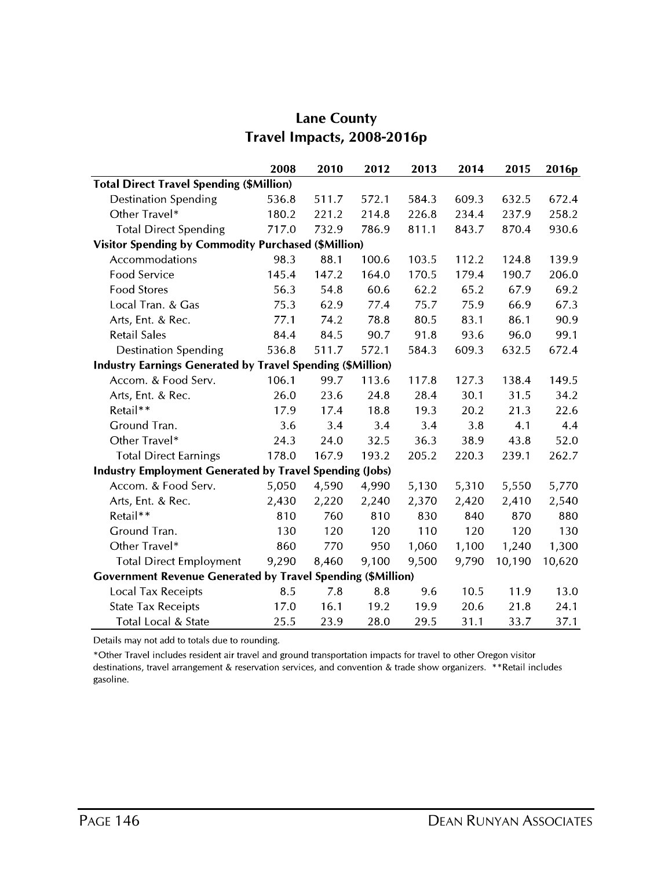|                                                                    | 2008  | 2010  | 2012  | 2013  | 2014  | 2015   | 2016p  |  |  |  |  |
|--------------------------------------------------------------------|-------|-------|-------|-------|-------|--------|--------|--|--|--|--|
| <b>Total Direct Travel Spending (\$Million)</b>                    |       |       |       |       |       |        |        |  |  |  |  |
| <b>Destination Spending</b>                                        | 536.8 | 511.7 | 572.1 | 584.3 | 609.3 | 632.5  | 672.4  |  |  |  |  |
| Other Travel*                                                      | 180.2 | 221.2 | 214.8 | 226.8 | 234.4 | 237.9  | 258.2  |  |  |  |  |
| <b>Total Direct Spending</b>                                       | 717.0 | 732.9 | 786.9 | 811.1 | 843.7 | 870.4  | 930.6  |  |  |  |  |
| <b>Visitor Spending by Commodity Purchased (\$Million)</b>         |       |       |       |       |       |        |        |  |  |  |  |
| Accommodations                                                     | 98.3  | 88.1  | 100.6 | 103.5 | 112.2 | 124.8  | 139.9  |  |  |  |  |
| Food Service                                                       | 145.4 | 147.2 | 164.0 | 170.5 | 179.4 | 190.7  | 206.0  |  |  |  |  |
| <b>Food Stores</b>                                                 | 56.3  | 54.8  | 60.6  | 62.2  | 65.2  | 67.9   | 69.2   |  |  |  |  |
| Local Tran. & Gas                                                  | 75.3  | 62.9  | 77.4  | 75.7  | 75.9  | 66.9   | 67.3   |  |  |  |  |
| Arts, Ent. & Rec.                                                  | 77.1  | 74.2  | 78.8  | 80.5  | 83.1  | 86.1   | 90.9   |  |  |  |  |
| <b>Retail Sales</b>                                                | 84.4  | 84.5  | 90.7  | 91.8  | 93.6  | 96.0   | 99.1   |  |  |  |  |
| <b>Destination Spending</b>                                        | 536.8 | 511.7 | 572.1 | 584.3 | 609.3 | 632.5  | 672.4  |  |  |  |  |
| <b>Industry Earnings Generated by Travel Spending (\$Million)</b>  |       |       |       |       |       |        |        |  |  |  |  |
| Accom. & Food Serv.                                                | 106.1 | 99.7  | 113.6 | 117.8 | 127.3 | 138.4  | 149.5  |  |  |  |  |
| Arts, Ent. & Rec.                                                  | 26.0  | 23.6  | 24.8  | 28.4  | 30.1  | 31.5   | 34.2   |  |  |  |  |
| Retail**                                                           | 17.9  | 17.4  | 18.8  | 19.3  | 20.2  | 21.3   | 22.6   |  |  |  |  |
| Ground Tran.                                                       | 3.6   | 3.4   | 3.4   | 3.4   | 3.8   | 4.1    | 4.4    |  |  |  |  |
| Other Travel*                                                      | 24.3  | 24.0  | 32.5  | 36.3  | 38.9  | 43.8   | 52.0   |  |  |  |  |
| <b>Total Direct Earnings</b>                                       | 178.0 | 167.9 | 193.2 | 205.2 | 220.3 | 239.1  | 262.7  |  |  |  |  |
| <b>Industry Employment Generated by Travel Spending (Jobs)</b>     |       |       |       |       |       |        |        |  |  |  |  |
| Accom. & Food Serv.                                                | 5,050 | 4,590 | 4,990 | 5,130 | 5,310 | 5,550  | 5,770  |  |  |  |  |
| Arts, Ent. & Rec.                                                  | 2,430 | 2,220 | 2,240 | 2,370 | 2,420 | 2,410  | 2,540  |  |  |  |  |
| Retail**                                                           | 810   | 760   | 810   | 830   | 840   | 870    | 880    |  |  |  |  |
| Ground Tran.                                                       | 130   | 120   | 120   | 110   | 120   | 120    | 130    |  |  |  |  |
| Other Travel*                                                      | 860   | 770   | 950   | 1,060 | 1,100 | 1,240  | 1,300  |  |  |  |  |
| <b>Total Direct Employment</b>                                     | 9,290 | 8,460 | 9,100 | 9,500 | 9,790 | 10,190 | 10,620 |  |  |  |  |
| <b>Government Revenue Generated by Travel Spending (\$Million)</b> |       |       |       |       |       |        |        |  |  |  |  |
| <b>Local Tax Receipts</b>                                          | 8.5   | 7.8   | 8.8   | 9.6   | 10.5  | 11.9   | 13.0   |  |  |  |  |
| <b>State Tax Receipts</b>                                          | 17.0  | 16.1  | 19.2  | 19.9  | 20.6  | 21.8   | 24.1   |  |  |  |  |
| Total Local & State                                                | 25.5  | 23.9  | 28.0  | 29.5  | 31.1  | 33.7   | 37.1   |  |  |  |  |

### **Lane County** Travel Impacts, 2008-2016p

Details may not add to totals due to rounding.

\*Other Travel includes resident air travel and ground transportation impacts for travel to other Oregon visitor destinations, travel arrangement & reservation services, and convention & trade show organizers. \*\*Retail includes gasoline.